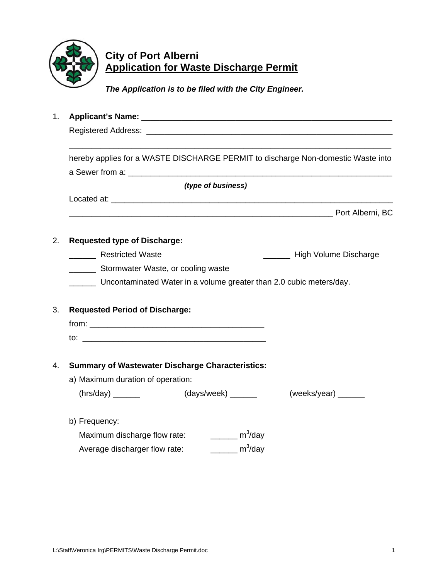

## **City of Port Alberni Application for Waste Discharge Permit**

 *The Application is to be filed with the City Engineer.* 

1. **Applicant's Name:** \_\_\_\_\_\_\_\_\_\_\_\_\_\_\_\_\_\_\_\_\_\_\_\_\_\_\_\_\_\_\_\_\_\_\_\_\_\_\_\_\_\_\_\_\_\_\_\_\_\_\_\_\_\_\_\_ Registered Address: **Example 2018**  $\overline{\phantom{a}}$  , and the contribution of the contribution of the contribution of the contribution of the contribution of the contribution of the contribution of the contribution of the contribution of the contribution of the hereby applies for a WASTE DISCHARGE PERMIT to discharge Non-domestic Waste into a Sewer from a: \_\_\_\_\_\_\_\_\_\_\_\_\_\_\_\_\_\_\_\_\_\_\_\_\_\_\_\_\_\_\_\_\_\_\_\_\_\_\_\_\_\_\_\_\_\_\_\_\_\_\_\_\_\_\_\_\_\_\_ *(type of business)*  Located at:  $\Box$ en and the proof Alberni, BC 2. **Requested type of Discharge:** Lesse Restricted Waste **Lesse Controller and Controller Controller** High Volume Discharge \_\_\_\_\_\_ Stormwater Waste, or cooling waste \_\_\_\_\_\_ Uncontaminated Water in a volume greater than 2.0 cubic meters/day. 3. **Requested Period of Discharge:** from: \_\_\_\_\_\_\_\_\_\_\_\_\_\_\_\_\_\_\_\_\_\_\_\_\_\_\_\_\_\_\_\_\_\_\_\_\_\_\_  $\mathsf{to}:$ 4. **Summary of Wastewater Discharge Characteristics:** a) Maximum duration of operation:  $(hrs/day)$  \_\_\_\_\_\_\_ (days/week) \_\_\_\_\_\_ (weeks/year) \_\_\_\_\_ b) Frequency: Maximum discharge flow rate:  $\frac{m^3}{day}$ Average discharger flow rate:  $\frac{m^3}{day}$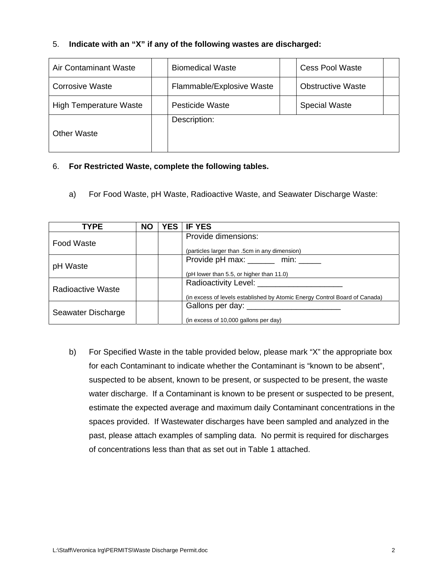## 5. **Indicate with an "X" if any of the following wastes are discharged:**

| <b>Air Contaminant Waste</b>  | <b>Biomedical Waste</b>   |  | <b>Cess Pool Waste</b>   |  |
|-------------------------------|---------------------------|--|--------------------------|--|
| Corrosive Waste               | Flammable/Explosive Waste |  | <b>Obstructive Waste</b> |  |
| <b>High Temperature Waste</b> | <b>Pesticide Waste</b>    |  | <b>Special Waste</b>     |  |
| <b>Other Waste</b>            | Description:              |  |                          |  |

## 6. **For Restricted Waste, complete the following tables.**

a) For Food Waste, pH Waste, Radioactive Waste, and Seawater Discharge Waste:

| <b>TYPE</b>              | <b>NO</b> | <b>YES</b> | <b>IF YES</b>                                                              |
|--------------------------|-----------|------------|----------------------------------------------------------------------------|
|                          |           |            | Provide dimensions:                                                        |
| <b>Food Waste</b>        |           |            | (particles larger than .5cm in any dimension)                              |
|                          |           |            | Provide pH max: ______ min: _____                                          |
| pH Waste                 |           |            | (pH lower than 5.5, or higher than 11.0)                                   |
|                          |           |            | Radioactivity Level: __________                                            |
| <b>Radioactive Waste</b> |           |            | (in excess of levels established by Atomic Energy Control Board of Canada) |
|                          |           |            |                                                                            |
| Seawater Discharge       |           |            | (in excess of 10,000 gallons per day)                                      |

 b) For Specified Waste in the table provided below, please mark "X" the appropriate box for each Contaminant to indicate whether the Contaminant is "known to be absent", suspected to be absent, known to be present, or suspected to be present, the waste water discharge. If a Contaminant is known to be present or suspected to be present, estimate the expected average and maximum daily Contaminant concentrations in the spaces provided. If Wastewater discharges have been sampled and analyzed in the past, please attach examples of sampling data. No permit is required for discharges of concentrations less than that as set out in Table 1 attached.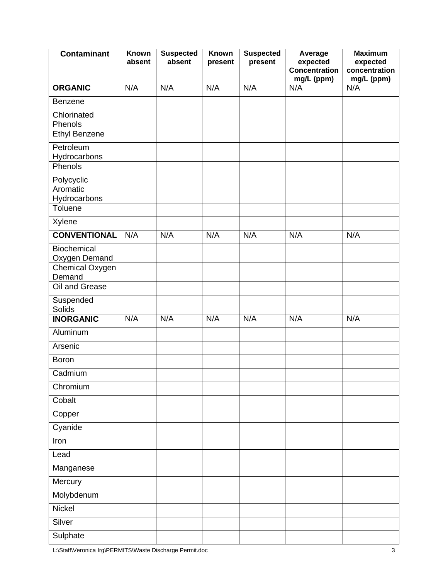| <b>Contaminant</b>                     | <b>Known</b><br>absent | <b>Suspected</b><br>absent | <b>Known</b><br>present | <b>Suspected</b><br>present | Average<br>expected<br><b>Concentration</b><br>mg/L (ppm) | <b>Maximum</b><br>expected<br>concentration<br>mg/L (ppm) |
|----------------------------------------|------------------------|----------------------------|-------------------------|-----------------------------|-----------------------------------------------------------|-----------------------------------------------------------|
| <b>ORGANIC</b>                         | N/A                    | N/A                        | N/A                     | N/A                         | N/A                                                       | N/A                                                       |
| <b>Benzene</b>                         |                        |                            |                         |                             |                                                           |                                                           |
| Chlorinated<br>Phenols                 |                        |                            |                         |                             |                                                           |                                                           |
| <b>Ethyl Benzene</b>                   |                        |                            |                         |                             |                                                           |                                                           |
| Petroleum<br>Hydrocarbons              |                        |                            |                         |                             |                                                           |                                                           |
| Phenols                                |                        |                            |                         |                             |                                                           |                                                           |
| Polycyclic<br>Aromatic<br>Hydrocarbons |                        |                            |                         |                             |                                                           |                                                           |
| Toluene                                |                        |                            |                         |                             |                                                           |                                                           |
| Xylene                                 |                        |                            |                         |                             |                                                           |                                                           |
| <b>CONVENTIONAL</b>                    | N/A                    | N/A                        | N/A                     | N/A                         | N/A                                                       | N/A                                                       |
| Biochemical<br>Oxygen Demand           |                        |                            |                         |                             |                                                           |                                                           |
| Chemical Oxygen<br>Demand              |                        |                            |                         |                             |                                                           |                                                           |
| Oil and Grease                         |                        |                            |                         |                             |                                                           |                                                           |
| Suspended<br><b>Solids</b>             |                        |                            |                         |                             |                                                           |                                                           |
| <b>INORGANIC</b>                       | N/A                    | N/A                        | N/A                     | N/A                         | N/A                                                       | N/A                                                       |
| Aluminum                               |                        |                            |                         |                             |                                                           |                                                           |
| Arsenic                                |                        |                            |                         |                             |                                                           |                                                           |
| <b>Boron</b>                           |                        |                            |                         |                             |                                                           |                                                           |
| Cadmium                                |                        |                            |                         |                             |                                                           |                                                           |
| Chromium                               |                        |                            |                         |                             |                                                           |                                                           |
| Cobalt                                 |                        |                            |                         |                             |                                                           |                                                           |
| Copper                                 |                        |                            |                         |                             |                                                           |                                                           |
| Cyanide                                |                        |                            |                         |                             |                                                           |                                                           |
| Iron                                   |                        |                            |                         |                             |                                                           |                                                           |
| Lead                                   |                        |                            |                         |                             |                                                           |                                                           |
| Manganese                              |                        |                            |                         |                             |                                                           |                                                           |
| Mercury                                |                        |                            |                         |                             |                                                           |                                                           |
| Molybdenum                             |                        |                            |                         |                             |                                                           |                                                           |
| Nickel                                 |                        |                            |                         |                             |                                                           |                                                           |
| Silver                                 |                        |                            |                         |                             |                                                           |                                                           |
| Sulphate                               |                        |                            |                         |                             |                                                           |                                                           |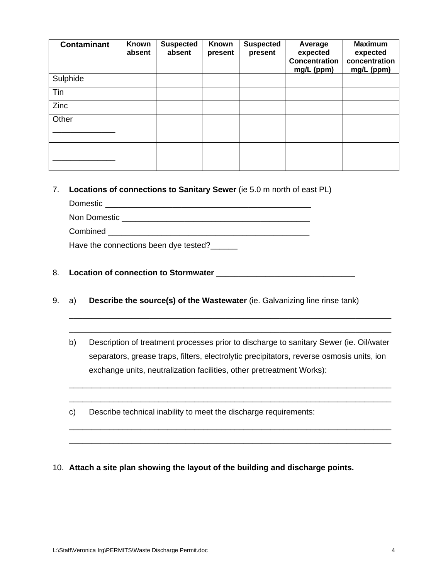| <b>Contaminant</b> | <b>Known</b><br>absent | <b>Suspected</b><br>absent | Known<br>present | <b>Suspected</b><br>present | Average<br>expected<br><b>Concentration</b><br>mg/L (ppm) | <b>Maximum</b><br>expected<br>concentration<br>mg/L (ppm) |
|--------------------|------------------------|----------------------------|------------------|-----------------------------|-----------------------------------------------------------|-----------------------------------------------------------|
| Sulphide           |                        |                            |                  |                             |                                                           |                                                           |
| Tin                |                        |                            |                  |                             |                                                           |                                                           |
| Zinc               |                        |                            |                  |                             |                                                           |                                                           |
| Other              |                        |                            |                  |                             |                                                           |                                                           |
|                    |                        |                            |                  |                             |                                                           |                                                           |
|                    |                        |                            |                  |                             |                                                           |                                                           |

7. **Locations of connections to Sanitary Sewer** (ie 5.0 m north of east PL)

 Domestic \_\_\_\_\_\_\_\_\_\_\_\_\_\_\_\_\_\_\_\_\_\_\_\_\_\_\_\_\_\_\_\_\_\_\_\_\_\_\_\_\_\_\_\_\_\_ Non Domestic \_\_\_\_\_\_\_\_\_\_\_\_\_\_\_\_\_\_\_\_\_\_\_\_\_\_\_\_\_\_\_\_\_\_\_\_\_\_\_\_\_\_ Combined Have the connections been dye tested?

- 8. **Location of connection to Stormwater** \_\_\_\_\_\_\_\_\_\_\_\_\_\_\_\_\_\_\_\_\_\_\_\_\_\_\_\_\_\_\_
- 9. a) **Describe the source(s) of the Wastewater** (ie. Galvanizing line rinse tank)
	- b) Description of treatment processes prior to discharge to sanitary Sewer (ie. Oil/water separators, grease traps, filters, electrolytic precipitators, reverse osmosis units, ion exchange units, neutralization facilities, other pretreatment Works):

 $\overline{\phantom{a}}$  , and the contribution of the contribution of the contribution of the contribution of the contribution of the contribution of the contribution of the contribution of the contribution of the contribution of the  $\overline{\phantom{a}}$  , and the contribution of the contribution of the contribution of the contribution of the contribution of the contribution of the contribution of the contribution of the contribution of the contribution of the

 $\overline{\phantom{a}}$  , and the contribution of the contribution of the contribution of the contribution of the contribution of  $\overline{\phantom{a}}$  $\overline{\phantom{a}}$  , and the contribution of the contribution of the contribution of the contribution of the contribution of the contribution of the contribution of the contribution of the contribution of the contribution of the

 $\overline{\phantom{a}}$  , and the contribution of the contribution of the contribution of the contribution of the contribution of the contribution of the contribution of the contribution of the contribution of the contribution of the  $\overline{\phantom{a}}$  , and the contribution of the contribution of the contribution of the contribution of the contribution of the contribution of the contribution of the contribution of the contribution of the contribution of the

c) Describe technical inability to meet the discharge requirements:

10. **Attach a site plan showing the layout of the building and discharge points.**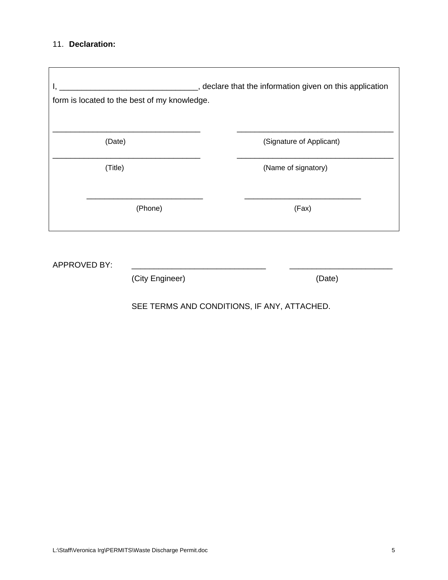## 11. **Declaration:**

 $\overline{\Gamma}$ 

| <u> 1980 - John Stein, Amerikaansk politiker (* 1901)</u><br>form is located to the best of my knowledge. | _, declare that the information given on this application |
|-----------------------------------------------------------------------------------------------------------|-----------------------------------------------------------|
| (Date)                                                                                                    | (Signature of Applicant)                                  |
| (Title)                                                                                                   | (Name of signatory)                                       |
| (Phone)                                                                                                   | (Fax)                                                     |
|                                                                                                           |                                                           |

APPROVED BY: \_\_\_\_\_\_\_\_\_\_\_\_\_\_\_\_\_\_\_\_\_\_\_\_\_\_\_\_\_\_ \_\_\_\_\_\_\_\_\_\_\_\_\_\_\_\_\_\_\_\_\_\_\_

(City Engineer) (Date)

SEE TERMS AND CONDITIONS, IF ANY, ATTACHED.